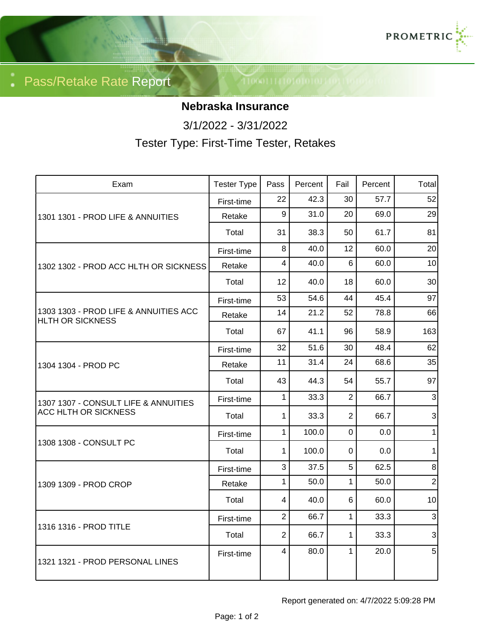

Pass/Retake Rate Report

## **Nebraska Insurance**

3/1/2022 - 3/31/2022

Tester Type: First-Time Tester, Retakes

| Exam                                                                | <b>Tester Type</b> | Pass            | Percent | Fail           | Percent | Total                     |
|---------------------------------------------------------------------|--------------------|-----------------|---------|----------------|---------|---------------------------|
| 1301 1301 - PROD LIFE & ANNUITIES                                   | First-time         | 22              | 42.3    | 30             | 57.7    | 52                        |
|                                                                     | Retake             | 9               | 31.0    | 20             | 69.0    | 29                        |
|                                                                     | Total              | 31              | 38.3    | 50             | 61.7    | 81                        |
| 1302 1302 - PROD ACC HLTH OR SICKNESS                               | First-time         | 8               | 40.0    | 12             | 60.0    | 20                        |
|                                                                     | Retake             | 4               | 40.0    | 6              | 60.0    | 10                        |
|                                                                     | Total              | 12 <sup>2</sup> | 40.0    | 18             | 60.0    | 30                        |
| 1303 1303 - PROD LIFE & ANNUITIES ACC<br><b>HLTH OR SICKNESS</b>    | First-time         | 53              | 54.6    | 44             | 45.4    | 97                        |
|                                                                     | Retake             | 14              | 21.2    | 52             | 78.8    | 66                        |
|                                                                     | Total              | 67              | 41.1    | 96             | 58.9    | 163                       |
| 1304 1304 - PROD PC                                                 | First-time         | 32              | 51.6    | 30             | 48.4    | 62                        |
|                                                                     | Retake             | 11              | 31.4    | 24             | 68.6    | 35                        |
|                                                                     | Total              | 43              | 44.3    | 54             | 55.7    | 97                        |
| 1307 1307 - CONSULT LIFE & ANNUITIES<br><b>ACC HLTH OR SICKNESS</b> | First-time         | $\mathbf{1}$    | 33.3    | $\overline{2}$ | 66.7    | $\overline{3}$            |
|                                                                     | Total              | 1               | 33.3    | $\overline{2}$ | 66.7    | $\ensuremath{\mathsf{3}}$ |
| 1308 1308 - CONSULT PC                                              | First-time         | $\mathbf{1}$    | 100.0   | $\mathbf 0$    | 0.0     | 1                         |
|                                                                     | Total              | 1.              | 100.0   | 0              | 0.0     | $\mathbf 1$               |
| 1309 1309 - PROD CROP                                               | First-time         | 3               | 37.5    | 5              | 62.5    | 8 <sup>1</sup>            |
|                                                                     | Retake             | 1               | 50.0    | $\mathbf{1}$   | 50.0    | $\overline{2}$            |
|                                                                     | Total              | $\overline{4}$  | 40.0    | 6              | 60.0    | 10                        |
| 1316 1316 - PROD TITLE                                              | First-time         | $\overline{2}$  | 66.7    | $\mathbf{1}$   | 33.3    | $\overline{3}$            |
|                                                                     | Total              | $\overline{2}$  | 66.7    | $\mathbf{1}$   | 33.3    | $\overline{3}$            |
| 1321 1321 - PROD PERSONAL LINES                                     | First-time         | $\overline{4}$  | 80.0    | $\mathbf{1}$   | 20.0    | 5 <sup>1</sup>            |